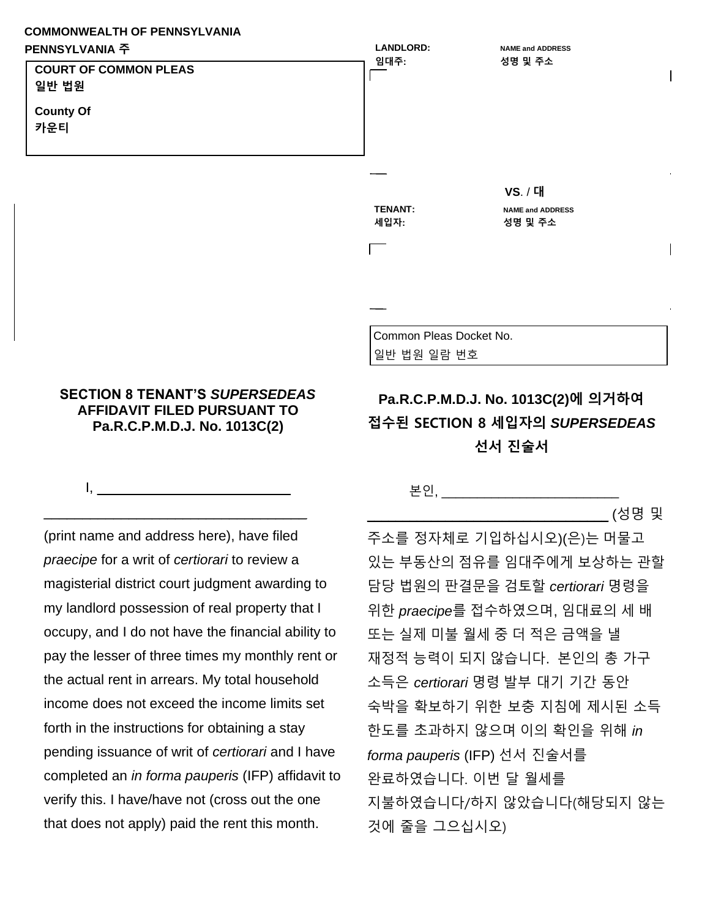## **COMMONWEALTH OF PENNSYLVANIA**



## **SECTION 8 TENANT'S** *SUPERSEDEAS*  **AFFIDAVIT FILED PURSUANT TO Pa.R.C.P.M.D.J. No. 1013C(2)**

 $1, \_$ 

\_\_\_\_\_\_\_\_\_\_\_\_\_\_\_\_\_\_\_\_\_\_\_\_\_\_\_\_\_\_\_\_\_\_

(print name and address here), have filed *praecipe* for a writ of *certiorari* to review a magisterial district court judgment awarding to my landlord possession of real property that I occupy, and I do not have the financial ability to pay the lesser of three times my monthly rent or the actual rent in arrears. My total household income does not exceed the income limits set forth in the instructions for obtaining a stay pending issuance of writ of *certiorari* and I have completed an *in forma pauperis* (IFP) affidavit to verify this. I have/have not (cross out the one that does not apply) paid the rent this month.

## 본인, \_\_\_\_\_\_\_\_\_\_\_\_\_\_\_\_\_\_\_\_\_\_\_\_\_

\_\_\_\_\_\_\_\_\_\_\_\_\_\_\_\_\_\_\_\_\_\_\_\_\_\_\_\_\_\_\_\_\_\_ (성명 및

주소를 정자체로 기입하십시오)(은)는 머물고 있는 부동산의 점유를 임대주에게 보상하는 관할 담당 법원의 판결문을 검토할 *certiorari* 명령을 위한 *praecipe*를 접수하였으며, 임대료의 세 배 또는 실제 미불 월세 중 더 적은 금액을 낼 재정적 능력이 되지 않습니다. 본인의 총 가구 소득은 *certiorari* 명령 발부 대기 기간 동안 숙박을 확보하기 위한 보충 지침에 제시된 소득 한도를 초과하지 않으며 이의 확인을 위해 *in forma pauperis* (IFP) 선서 진술서를 완료하였습니다. 이번 달 월세를 지불하였습니다/하지 않았습니다(해당되지 않는 것에 줄을 그으십시오)

**Pa.R.C.P.M.D.J. No. 1013C(2)에 의거하여 접수된 SECTION 8 세입자의** *SUPERSEDEAS*

**선서 진술서**